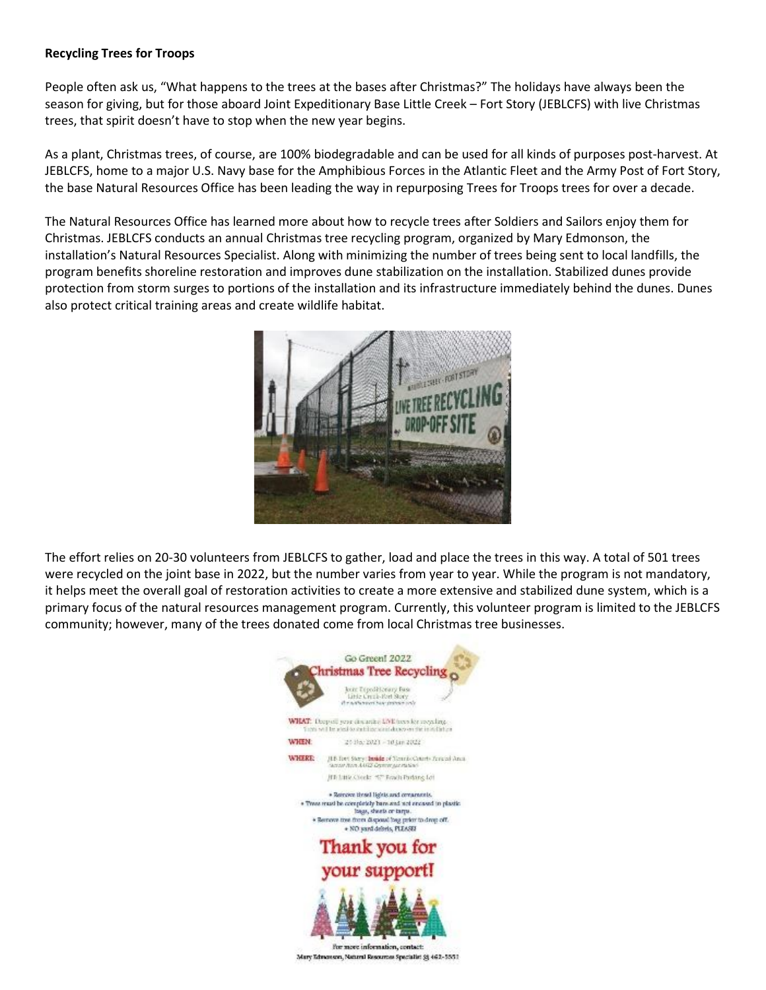## **Recycling Trees for Troops**

People often ask us, "What happens to the trees at the bases after Christmas?" The holidays have always been the season for giving, but for those aboard Joint Expeditionary Base Little Creek – Fort Story (JEBLCFS) with live Christmas trees, that spirit doesn't have to stop when the new year begins.

As a plant, Christmas trees, of course, are 100% biodegradable and can be used for all kinds of purposes post-harvest. At JEBLCFS, home to a major U.S. Navy base for the Amphibious Forces in the Atlantic Fleet and the Army Post of Fort Story, the base Natural Resources Office has been leading the way in repurposing Trees for Troops trees for over a decade.

The Natural Resources Office has learned more about how to recycle trees after Soldiers and Sailors enjoy them for Christmas. JEBLCFS conducts an annual Christmas tree recycling program, organized by Mary Edmonson, the installation's Natural Resources Specialist. Along with minimizing the number of trees being sent to local landfills, the program benefits shoreline restoration and improves dune stabilization on the installation. Stabilized dunes provide protection from storm surges to portions of the installation and its infrastructure immediately behind the dunes. Dunes also protect critical training areas and create wildlife habitat.



The effort relies on 20-30 volunteers from JEBLCFS to gather, load and place the trees in this way. A total of 501 trees were recycled on the joint base in 2022, but the number varies from year to year. While the program is not mandatory, it helps meet the overall goal of restoration activities to create a more extensive and stabilized dune system, which is a primary focus of the natural resources management program. Currently, this volunteer program is limited to the JEBLCFS community; however, many of the trees donated come from local Christmas tree businesses.

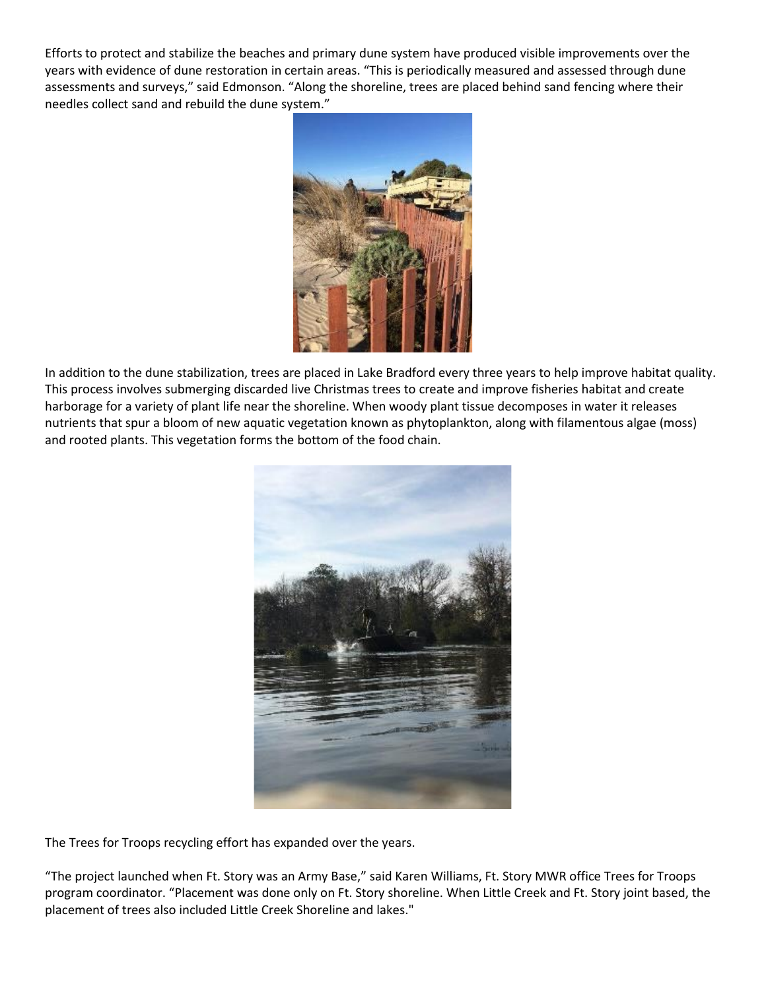Efforts to protect and stabilize the beaches and primary dune system have produced visible improvements over the years with evidence of dune restoration in certain areas. "This is periodically measured and assessed through dune assessments and surveys," said Edmonson. "Along the shoreline, trees are placed behind sand fencing where their needles collect sand and rebuild the dune system."



In addition to the dune stabilization, trees are placed in Lake Bradford every three years to help improve habitat quality. This process involves submerging discarded live Christmas trees to create and improve fisheries habitat and create harborage for a variety of plant life near the shoreline. When woody plant tissue decomposes in water it releases nutrients that spur a bloom of new aquatic vegetation known as phytoplankton, along with filamentous algae (moss) and rooted plants. This vegetation forms the bottom of the food chain.



The Trees for Troops recycling effort has expanded over the years.

"The project launched when Ft. Story was an Army Base," said Karen Williams, Ft. Story MWR office Trees for Troops program coordinator. "Placement was done only on Ft. Story shoreline. When Little Creek and Ft. Story joint based, the placement of trees also included Little Creek Shoreline and lakes."